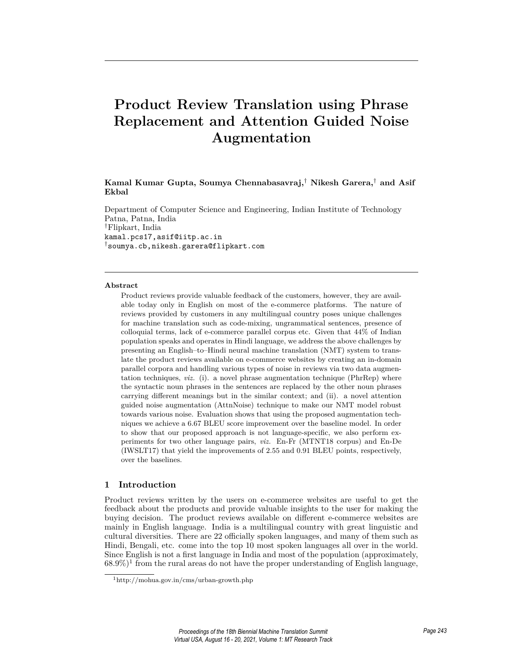# **Product Review Translation using Phrase Replacement and Attention Guided Noise Augmentation**

**Kamal Kumar Gupta, Soumya Chennabasavraj,***†* **Nikesh Garera,***†* **and Asif Ekbal**

Department of Computer Science and Engineering, Indian Institute of Technology Patna, Patna, India *†*Flipkart, India kamal.pcs17,asif@iitp.ac.in *†*soumya.cb,nikesh.garera@flipkart.com

#### **Abstract**

Product reviews provide valuable feedback of the customers, however, they are available today only in English on most of the e-commerce platforms. The nature of reviews provided by customers in any multilingual country poses unique challenges for machine translation such as code-mixing, ungrammatical sentences, presence of colloquial terms, lack of e-commerce parallel corpus etc. Given that 44% of Indian population speaks and operates in Hindi language, we address the above challenges by presenting an English–to–Hindi neural machine translation (NMT) system to translate the product reviews available on e-commerce websites by creating an in-domain parallel corpora and handling various types of noise in reviews via two data augmentation techniques, *viz.* (i). a novel phrase augmentation technique (PhrRep) where the syntactic noun phrases in the sentences are replaced by the other noun phrases carrying different meanings but in the similar context; and (ii). a novel attention guided noise augmentation (AttnNoise) technique to make our NMT model robust towards various noise. Evaluation shows that using the proposed augmentation techniques we achieve a 6.67 BLEU score improvement over the baseline model. In order to show that our proposed approach is not language-specific, we also perform experiments for two other language pairs, *viz.* En-Fr (MTNT18 corpus) and En-De (IWSLT17) that yield the improvements of 2.55 and 0.91 BLEU points, respectively, over the baselines.

## **1 Introduction**

Product reviews written by the users on e-commerce websites are useful to get the feedback about the products and provide valuable insights to the user for making the buying decision. The product reviews available on different e-commerce websites are mainly in English language. India is a multilingual country with great linguistic and cultural diversities. There are 22 officially spoken languages, and many of them such as Hindi, Bengali, etc. come into the top 10 most spoken languages all over in the world. Since English is not a first language in India and most of the population (approximately,  $68.9\%)$ <sup>1</sup> from the rural areas do not have the proper understanding of English language,

<sup>1</sup>http://mohua.gov.in/cms/urban-growth.php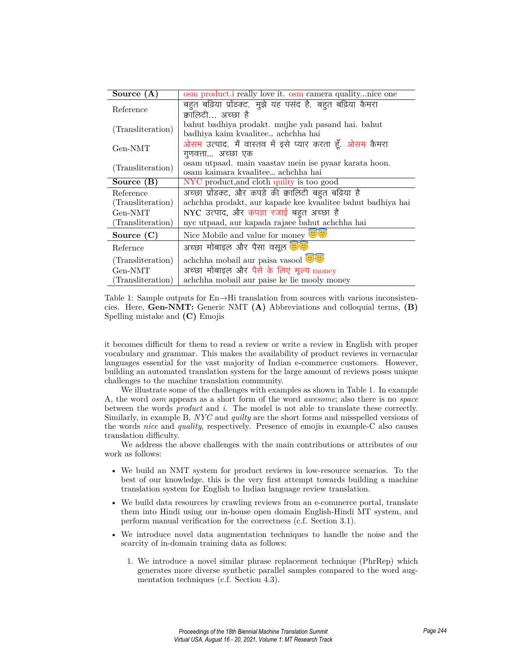| Source $(A)$      | osm product.i really love it. osm camera qualitynice one              |  |  |  |
|-------------------|-----------------------------------------------------------------------|--|--|--|
| Reference         | बहुत बढ़िया प्रॉडक्ट. मुझे यह पसंद है. बहुत बढ़िया कैमरा              |  |  |  |
|                   | क्वालिटी अच्छा है                                                     |  |  |  |
|                   | bahut badhiya prodakt. mujhe yah pasand hai. bahut                    |  |  |  |
| (Transliteration) | badhiya kaim kvaalitee achchha hai                                    |  |  |  |
| Gen-NMT           | ओसम उत्पाद. मैं वास्तव में इसे प्यार करता हूँ. <mark>ओसम</mark> कैमरा |  |  |  |
|                   | गणवत्ता… अच्छा एक                                                     |  |  |  |
| (Transliteration) | osam utpaad. main vaastav mein ise pyaar karata hoon.                 |  |  |  |
|                   | osam kaimara kvaalitee achchha hai                                    |  |  |  |
| Source $(B)$      | NYC product, and cloth quilty is too good                             |  |  |  |
| Reference         | अच्छा प्रॉडक्ट, और कपड़े की क्वालिटी बहुत बढ़िया है                   |  |  |  |
| (Transliteration) | achchha prodakt, aur kapade kee kvaalitee bahut badhiya hai           |  |  |  |
| Gen-NMT           | NYC उत्पाद, और कपड़ा रजाई बहुत अच्छा है                               |  |  |  |
| (Transliteration) | nyc utpaad, aur kapada rajaee bahut achchha hai                       |  |  |  |
| Source $(C)$      | Nice Mobile and value for money $\bullet$                             |  |  |  |
| Refernce          | अच्छा मोबाइल और पैसा वसूल <b>छोड़ा</b>                                |  |  |  |
| (Transliteration) | achchha mobail aur paisa vasool                                       |  |  |  |
| Gen-NMT           | अच्छा मोबाइल और पैसे के लिए मूल्य money                               |  |  |  |
| (Transliteration) | achchha mobail aur paise ke lie mooly money                           |  |  |  |

Table 1: Sample outputs for En*→*Hi translation from sources with various inconsistencies. Here, **Gen-NMT:** Generic NMT **(A)** Abbreviations and colloquial terms, **(B)** Spelling mistake and **(C)** Emojis

it becomes difficult for them to read a review or write a review in English with proper vocabulary and grammar. This makes the availability of product reviews in vernacular languages essential for the vast majority of Indian e-commerce customers. However, building an automated translation system for the large amount of reviews poses unique challenges to the machine translation community.

We illustrate some of the challenges with examples as shown in Table 1. In example A, the word *osm* appears as a short form of the word *awesome*; also there is no *space* between the words *product* and *i*. The model is not able to translate these correctly. Similarly, in example B, *NYC* and *quilty* are the short forms and misspelled versions of the words *nice* and *quality*, respectively. Presence of emojis in example-C also causes translation difficulty.

We address the above challenges with the main contributions or attributes of our work as follows:

- We build an NMT system for product reviews in low-resource scenarios. To the best of our knowledge, this is the very first attempt towards building a machine translation system for English to Indian language review translation.
- We build data resources by crawling reviews from an e-commerce portal, translate them into Hindi using our in-house open domain English-Hindi MT system, and perform manual verification for the correctness (c.f. Section 3.1).
- We introduce novel data augmentation techniques to handle the noise and the scarcity of in-domain training data as follows:
	- 1. We introduce a novel similar phrase replacement technique (PhrRep) which generates more diverse synthetic parallel samples compared to the word augmentation techniques (c.f. Section 4.3).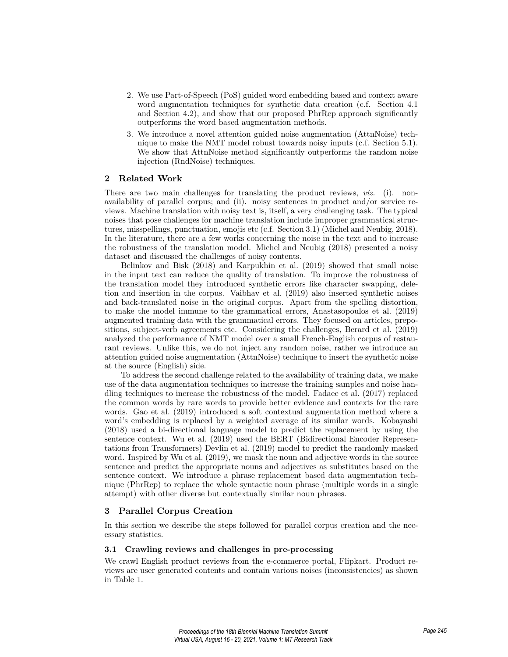- 2. We use Part-of-Speech (PoS) guided word embedding based and context aware word augmentation techniques for synthetic data creation (c.f. Section 4.1 and Section 4.2), and show that our proposed PhrRep approach significantly outperforms the word based augmentation methods.
- 3. We introduce a novel attention guided noise augmentation (AttnNoise) technique to make the NMT model robust towards noisy inputs (c.f. Section 5.1). We show that AttnNoise method significantly outperforms the random noise injection (RndNoise) techniques.

# **2 Related Work**

There are two main challenges for translating the product reviews, *viz.* (i). nonavailability of parallel corpus; and (ii). noisy sentences in product and/or service reviews. Machine translation with noisy text is, itself, a very challenging task. The typical noises that pose challenges for machine translation include improper grammatical structures, misspellings, punctuation, emojis etc (c.f. Section 3.1) (Michel and Neubig, 2018). In the literature, there are a few works concerning the noise in the text and to increase the robustness of the translation model. Michel and Neubig (2018) presented a noisy dataset and discussed the challenges of noisy contents.

Belinkov and Bisk (2018) and Karpukhin et al. (2019) showed that small noise in the input text can reduce the quality of translation. To improve the robustness of the translation model they introduced synthetic errors like character swapping, deletion and insertion in the corpus. Vaibhav et al. (2019) also inserted synthetic noises and back-translated noise in the original corpus. Apart from the spelling distortion, to make the model immune to the grammatical errors, Anastasopoulos et al. (2019) augmented training data with the grammatical errors. They focused on articles, prepositions, subject-verb agreements etc. Considering the challenges, Berard et al. (2019) analyzed the performance of NMT model over a small French-English corpus of restaurant reviews. Unlike this, we do not inject any random noise, rather we introduce an attention guided noise augmentation (AttnNoise) technique to insert the synthetic noise at the source (English) side.

To address the second challenge related to the availability of training data, we make use of the data augmentation techniques to increase the training samples and noise handling techniques to increase the robustness of the model. Fadaee et al. (2017) replaced the common words by rare words to provide better evidence and contexts for the rare words. Gao et al. (2019) introduced a soft contextual augmentation method where a word's embedding is replaced by a weighted average of its similar words. Kobayashi (2018) used a bi-directional language model to predict the replacement by using the sentence context. Wu et al. (2019) used the BERT (Bidirectional Encoder Representations from Transformers) Devlin et al. (2019) model to predict the randomly masked word. Inspired by Wu et al. (2019), we mask the noun and adjective words in the source sentence and predict the appropriate nouns and adjectives as substitutes based on the sentence context. We introduce a phrase replacement based data augmentation technique (PhrRep) to replace the whole syntactic noun phrase (multiple words in a single attempt) with other diverse but contextually similar noun phrases.

## **3 Parallel Corpus Creation**

In this section we describe the steps followed for parallel corpus creation and the necessary statistics.

## **3.1 Crawling reviews and challenges in pre-processing**

We crawl English product reviews from the e-commerce portal, Flipkart. Product reviews are user generated contents and contain various noises (inconsistencies) as shown in Table 1.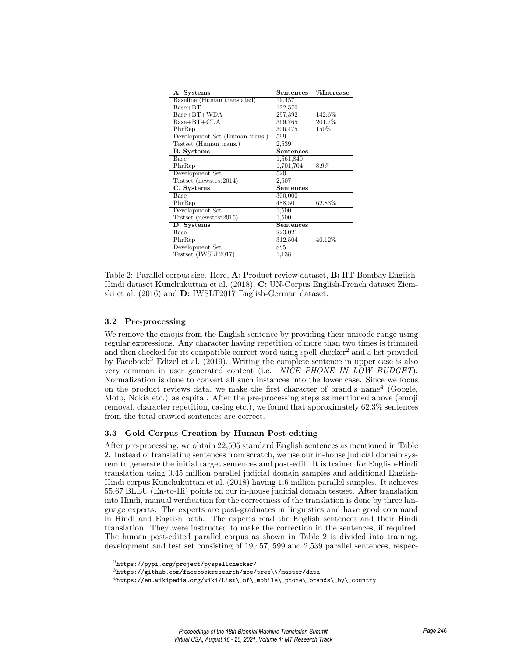| A. Systems                     | Sentences        | $\%$ Increase |  |  |
|--------------------------------|------------------|---------------|--|--|
| Baseline (Human translated)    | 19,457           |               |  |  |
| $Base+BT$                      | 122,570          |               |  |  |
| $Base+BT+WDA$                  | 297,392          | 142.6%        |  |  |
| $Base+BT+CDA$                  | 369,765          | 201.7%        |  |  |
| PhrRep                         | 306,475          | 150\%         |  |  |
| Development Set (Human trans.) | 599              |               |  |  |
| Testset (Human trans.)         | 2,539            |               |  |  |
| <b>B.</b> Systems              | Sentences        |               |  |  |
| Base                           | 1,561,840        |               |  |  |
| PhrRep                         | 1,701,704        | 8.9%          |  |  |
| Development Set                | 520              |               |  |  |
| Testset (newstest2014)         | 2,507            |               |  |  |
| C. Systems                     | <b>Sentences</b> |               |  |  |
| Base                           | 300,000          |               |  |  |
| PhrRep                         | 488,501          | 62.83%        |  |  |
| Development Set                | 1,500            |               |  |  |
| Testset (newstest2015)         | 1,500            |               |  |  |
| D. Systems                     | Sentences        |               |  |  |
| Base                           | 223,021          |               |  |  |
| PhrRep                         | 312,504          | 40.12%        |  |  |
| Development Set                | 885              |               |  |  |
| Testset (IWSLT2017)            | 1,138            |               |  |  |

Table 2: Parallel corpus size. Here, **A:** Product review dataset, **B:** IIT-Bombay English-Hindi dataset Kunchukuttan et al. (2018), **C:** UN-Corpus English-French dataset Ziemski et al. (2016) and **D:** IWSLT2017 English-German dataset.

## **3.2 Pre-processing**

We remove the emojis from the English sentence by providing their unicode range using regular expressions. Any character having repetition of more than two times is trimmed and then checked for its compatible correct word using spell-checker<sup>2</sup> and a list provided by Facebook<sup>3</sup> Edizel et al. (2019). Writing the complete sentence in upper case is also very common in user generated content (i.e. *NICE PHONE IN LOW BUDGET*). Normalization is done to convert all such instances into the lower case. Since we focus on the product reviews data, we make the first character of brand's name<sup>4</sup> (Google, Moto, Nokia etc.) as capital. After the pre-processing steps as mentioned above (emoji removal, character repetition, casing etc.), we found that approximately 62.3% sentences from the total crawled sentences are correct.

## **3.3 Gold Corpus Creation by Human Post-editing**

After pre-processing, we obtain 22,595 standard English sentences as mentioned in Table 2. Instead of translating sentences from scratch, we use our in-house judicial domain system to generate the initial target sentences and post-edit. It is trained for English-Hindi translation using 0.45 million parallel judicial domain samples and additional English-Hindi corpus Kunchukuttan et al. (2018) having 1.6 million parallel samples. It achieves 55.67 BLEU (En-to-Hi) points on our in-house judicial domain testset. After translation into Hindi, manual verification for the correctness of the translation is done by three language experts. The experts are post-graduates in linguistics and have good command in Hindi and English both. The experts read the English sentences and their Hindi translation. They were instructed to make the correction in the sentences, if required. The human post-edited parallel corpus as shown in Table 2 is divided into training, development and test set consisting of 19,457, 599 and 2,539 parallel sentences, respec-

 $^2$ https://pypi.org/project/pyspellchecker/

<sup>3</sup>https://github.com/facebookresearch/moe/tree\\/master/data

 $4$ https://en.wikipedia.org/wiki/List\\_of\\_mobile\\_phone\\_brands\\_by\\_country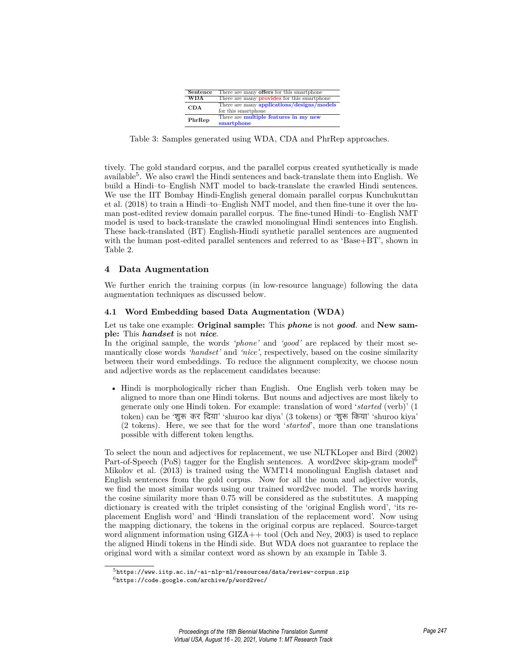| Sentence   | There are many <b>offers</b> for this smartphone                  |
|------------|-------------------------------------------------------------------|
| <b>WDA</b> | There are many <b>provides</b> for this smartphone                |
| CDA        | There are many applications/designs/models<br>for this smartphone |
| PhrRep     | There are multiple features in my new<br>smartphone               |

Table 3: Samples generated using WDA, CDA and PhrRep approaches.

tively. The gold standard corpus, and the parallel corpus created synthetically is made available<sup>5</sup> . We also crawl the Hindi sentences and back-translate them into English. We build a Hindi–to–English NMT model to back-translate the crawled Hindi sentences. We use the IIT Bombay Hindi-English general domain parallel corpus Kunchukuttan et al. (2018) to train a Hindi–to–English NMT model, and then fine-tune it over the human post-edited review domain parallel corpus. The fine-tuned Hindi–to–English NMT model is used to back-translate the crawled monolingual Hindi sentences into English. These back-translated (BT) English-Hindi synthetic parallel sentences are augmented with the human post-edited parallel sentences and referred to as 'Base+BT', shown in Table 2.

# **4 Data Augmentation**

We further enrich the training corpus (in low-resource language) following the data augmentation techniques as discussed below.

## **4.1 Word Embedding based Data Augmentation (WDA)**

## Let us take one example: **Original sample:** This *phone* is not *good*. and **New sample:** This *handset* is not *nice*.

In the original sample, the words *'phone'* and *'good'* are replaced by their most semantically close words *'handset'* and *'nice'*, respectively, based on the cosine similarity between their word embeddings. To reduce the alignment complexity, we choose noun and adjective words as the replacement candidates because:

• Hindi is morphologically richer than English. One English verb token may be aligned to more than one Hindi tokens. But nouns and adjectives are most likely to generate only one Hindi token. For example: translation of word '*started* (verb)' (1 token) can be 'शुरू कर दिया' 'shuroo kar diya' (3 tokens) or 'शुरू किया' 'shuroo kiya' (2 tokens). Here, we see that for the word '*started*', more than one translations possible with different token lengths.

To select the noun and adjectives for replacement, we use NLTKLoper and Bird (2002) Part-of-Speech (PoS) tagger for the English sentences. A word2vec skip-gram model<sup>6</sup> Mikolov et al. (2013) is trained using the WMT14 monolingual English dataset and English sentences from the gold corpus. Now for all the noun and adjective words, we find the most similar words using our trained word2vec model. The words having the cosine similarity more than 0.75 will be considered as the substitutes. A mapping dictionary is created with the triplet consisting of the 'original English word', 'its replacement English word' and 'Hindi translation of the replacement word'. Now using the mapping dictionary, the tokens in the original corpus are replaced. Source-target word alignment information using GIZA++ tool (Och and Ney, 2003) is used to replace the aligned Hindi tokens in the Hindi side. But WDA does not guarantee to replace the original word with a similar context word as shown by an example in Table 3.

 $5$ https://www.iitp.ac.in/~ai-nlp-ml/resources/data/review-corpus.zip  $6$ https://code.google.com/archive/p/word2vec/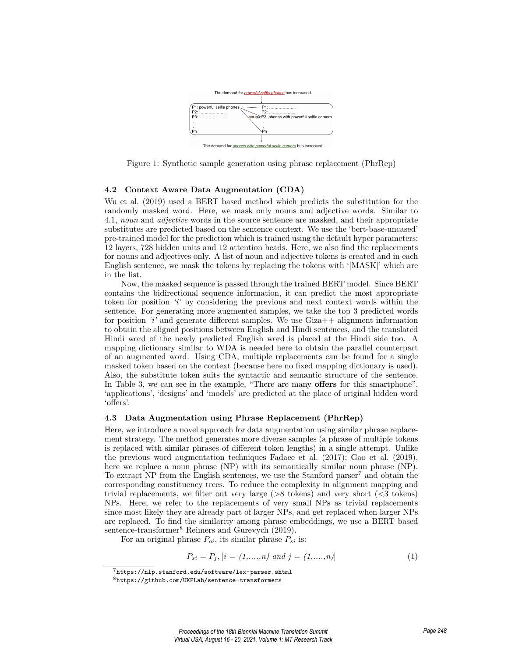

Figure 1: Synthetic sample generation using phrase replacement (PhrRep)

## **4.2 Context Aware Data Augmentation (CDA)**

Wu et al. (2019) used a BERT based method which predicts the substitution for the randomly masked word. Here, we mask only nouns and adjective words. Similar to 4.1, *noun* and *adjective* words in the source sentence are masked, and their appropriate substitutes are predicted based on the sentence context. We use the 'bert-base-uncased' pre-trained model for the prediction which is trained using the default hyper parameters: 12 layers, 728 hidden units and 12 attention heads. Here, we also find the replacements for nouns and adjectives only. A list of noun and adjective tokens is created and in each English sentence, we mask the tokens by replacing the tokens with '[MASK]' which are in the list.

Now, the masked sequence is passed through the trained BERT model. Since BERT contains the bidirectional sequence information, it can predict the most appropriate token for position *'i'* by considering the previous and next context words within the sentence. For generating more augmented samples, we take the top 3 predicted words for position *'i'* and generate different samples. We use Giza++ alignment information to obtain the aligned positions between English and Hindi sentences, and the translated Hindi word of the newly predicted English word is placed at the Hindi side too. A mapping dictionary similar to WDA is needed here to obtain the parallel counterpart of an augmented word. Using CDA, multiple replacements can be found for a single masked token based on the context (because here no fixed mapping dictionary is used). Also, the substitute token suits the syntactic and semantic structure of the sentence. In Table 3, we can see in the example, "There are many **offers** for this smartphone", 'applications', 'designs' and 'models' are predicted at the place of original hidden word 'offers'.

#### **4.3 Data Augmentation using Phrase Replacement (PhrRep)**

Here, we introduce a novel approach for data augmentation using similar phrase replacement strategy. The method generates more diverse samples (a phrase of multiple tokens is replaced with similar phrases of different token lengths) in a single attempt. Unlike the previous word augmentation techniques Fadaee et al. (2017); Gao et al. (2019), here we replace a noun phrase (NP) with its semantically similar noun phrase (NP). To extract NP from the English sentences, we use the Stanford parser<sup>7</sup> and obtain the corresponding constituency trees. To reduce the complexity in alignment mapping and trivial replacements, we filter out very large (>8 tokens) and very short (<3 tokens) NPs. Here, we refer to the replacements of very small NPs as trivial replacements since most likely they are already part of larger NPs, and get replaced when larger NPs are replaced. To find the similarity among phrase embeddings, we use a BERT based sentence-transformer<sup>8</sup> Reimers and Gurevych (2019).

For an original phrase  $P_{oi}$ , its similar phrase  $P_{si}$  is:

$$
P_{si} = P_j, [i = (1, \dots, n) \text{ and } j = (1, \dots, n)] \tag{1}
$$

 $7$ https://nlp.stanford.edu/software/lex-parser.shtml

<sup>8</sup>https://github.com/UKPLab/sentence-transformers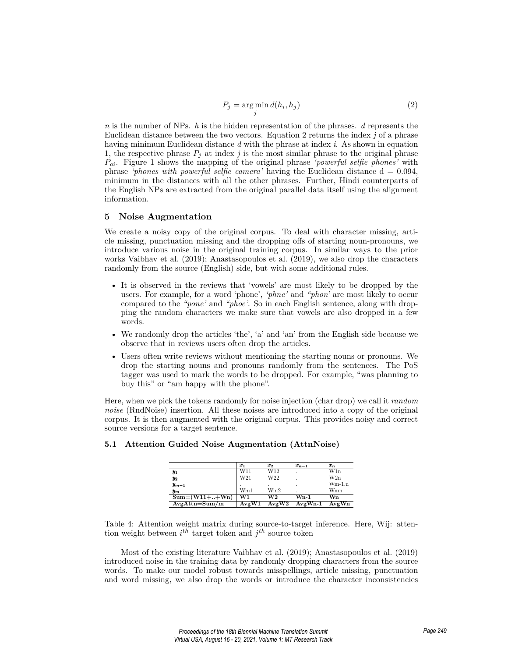$$
P_j = \underset{j}{\arg\min} d(h_i, h_j) \tag{2}
$$

*n* is the number of NPs. *h* is the hidden representation of the phrases. *d* represents the Euclidean distance between the two vectors. Equation 2 returns the index *j* of a phrase having minimum Euclidean distance *d* with the phrase at index *i*. As shown in equation 1, the respective phrase  $P_j$  at index  $j$  is the most similar phrase to the original phrase *Poi*. Figure 1 shows the mapping of the original phrase *'powerful selfie phones'* with phrase *'phones with powerful selfie camera'* having the Euclidean distance d = 0.094, minimum in the distances with all the other phrases. Further, Hindi counterparts of the English NPs are extracted from the original parallel data itself using the alignment information.

## **5 Noise Augmentation**

We create a noisy copy of the original corpus. To deal with character missing, article missing, punctuation missing and the dropping offs of starting noun-pronouns, we introduce various noise in the original training corpus. In similar ways to the prior works Vaibhav et al. (2019); Anastasopoulos et al. (2019), we also drop the characters randomly from the source (English) side, but with some additional rules.

- It is observed in the reviews that 'vowels' are most likely to be dropped by the users. For example, for a word 'phone', *'phne'* and *"phon'* are most likely to occur compared to the *"pone'* and *"phoe'*. So in each English sentence, along with dropping the random characters we make sure that vowels are also dropped in a few words.
- We randomly drop the articles 'the', 'a' and 'an' from the English side because we observe that in reviews users often drop the articles.
- Users often write reviews without mentioning the starting nouns or pronouns. We drop the starting nouns and pronouns randomly from the sentences. The PoS tagger was used to mark the words to be dropped. For example, "was planning to buy this" or "am happy with the phone".

Here, when we pick the tokens randomly for noise injection (char drop) we call it *random noise* (RndNoise) insertion. All these noises are introduced into a copy of the original corpus. It is then augmented with the original corpus. This provides noisy and correct source versions for a target sentence.

|                                         | $\boldsymbol{x}_1$ | $x_2$ | $x_{n-1}$ | $\pmb{x_n}$ |
|-----------------------------------------|--------------------|-------|-----------|-------------|
| Y1                                      | W11                | W12   |           | W1n         |
| $y_2$                                   | W21                | W22   |           | W2n         |
| $y_{m-1}$                               |                    | ٠     | ٠         | $Wm-1.n$    |
| $\boldsymbol{y_m}$                      | Wm1                | Wm2   |           | Wmn         |
| $\overline{\text{Sum}} = (W11 +  + Wn)$ | W1                 | W2    | Wn-1      | Wn          |
| $AvgAttn = Sum/m$                       | AveW1              | AvgW2 | $AvgWn-1$ | AvgWn       |

#### **5.1 Attention Guided Noise Augmentation (AttnNoise)**

Table 4: Attention weight matrix during source-to-target inference. Here, Wij: attention weight between  $i^{th}$  target token and  $j^{th}$  source token

Most of the existing literature Vaibhav et al. (2019); Anastasopoulos et al. (2019) introduced noise in the training data by randomly dropping characters from the source words. To make our model robust towards misspellings, article missing, punctuation and word missing, we also drop the words or introduce the character inconsistencies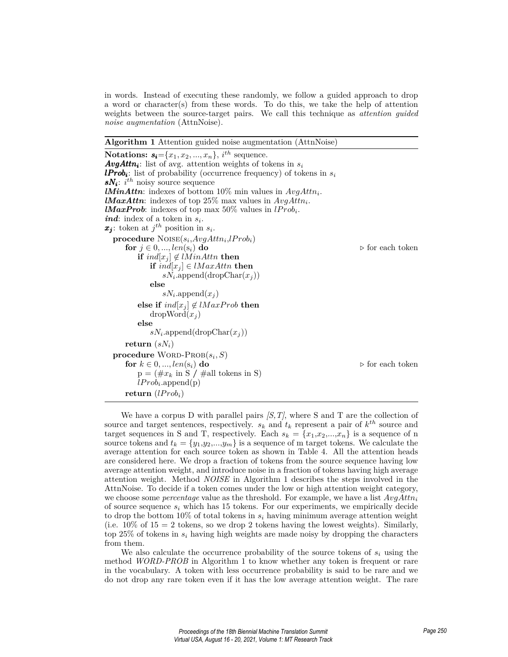in words. Instead of executing these randomly, we follow a guided approach to drop a word or character(s) from these words. To do this, we take the help of attention weights between the source-target pairs. We call this technique as *attention guided noise augmentation* (AttnNoise).

**Algorithm 1** Attention guided noise augmentation (AttnNoise)

**Notations:**  $s_i = \{x_1, x_2, ..., x_n\}, i^{th}$  sequence. *AvgAttn<sup>i</sup>* : list of avg. attention weights of tokens in *s<sup>i</sup> : list of probability (occurrence frequency) of tokens in*  $s_i$ *sN<sup>i</sup>* : *i th* noisy source sequence *lMinAttn*: indexes of bottom 10% min values in *AvgAttn<sup>i</sup>* . *lMaxAttn*: indexes of top 25% max values in *AvgAttn<sup>i</sup>* . *lMaxProb*: indexes of top max  $50\%$  values in  $lProb_i$ . *ind*: index of a token in *s<sup>i</sup>* . *x<sup>j</sup>* : token at *j th* position in *s<sup>i</sup>* .  $\textbf{procedure } \text{Noise}(s_i, AvgAttn_i, lProb_i)$ **for**  $j \in 0, ..., len(s_i)$  **do**  $\triangleright$  for each token **if**  $ind[x_i]$  ∉ *lMinAttn* **then if** *ind*[*x<sup>j</sup>* ] *∈ lM axAttn* **then**  $sN_i$ .append(dropChar $(x_j)$ ) **else**  $sN_i$ .append $(x_j)$ **else if**  $ind[x_i] \notin lMaxProb$  **then**  $dropWord(x_i)$ **else**  $sN_i$ .append(dropChar $(x_j)$ ) **return**  $(sN_i)$  $\mathbf{procedure} \ \text{WORD-PROB}(s_i, S)$ **for**  $k \in 0, ..., len(s_i)$  **do**  $\triangleright$  for each token  $p = (\#x_k \text{ in } S / \# \text{all tokens in } S)$ *lP rob<sup>i</sup>* .append(p) return  $(lProb<sub>i</sub>)$ 

We have a corpus D with parallel pairs *[S,T]*, where S and T are the collection of source and target sentences, respectively.  $s_k$  and  $t_k$  represent a pair of  $k^{th}$  source and target sequences in S and T, respectively. Each  $s_k = \{x_1, x_2, ..., x_n\}$  is a sequence of n source tokens and  $t_k = \{y_1, y_2, ..., y_m\}$  is a sequence of m target tokens. We calculate the average attention for each source token as shown in Table 4. All the attention heads are considered here. We drop a fraction of tokens from the source sequence having low average attention weight, and introduce noise in a fraction of tokens having high average attention weight. Method *NOISE* in Algorithm 1 describes the steps involved in the AttnNoise. To decide if a token comes under the low or high attention weight category, we choose some *percentage* value as the threshold. For example, we have a list *AvgAttn<sup>i</sup>* of source sequence *s<sup>i</sup>* which has 15 tokens. For our experiments, we empirically decide to drop the bottom  $10\%$  of total tokens in  $s_i$  having minimum average attention weight (i.e.  $10\%$  of  $15 = 2$  tokens, so we drop 2 tokens having the lowest weights). Similarly, top 25% of tokens in *s<sup>i</sup>* having high weights are made noisy by dropping the characters from them.

We also calculate the occurrence probability of the source tokens of  $s_i$  using the method *WORD-PROB* in Algorithm 1 to know whether any token is frequent or rare in the vocabulary. A token with less occurrence probability is said to be rare and we do not drop any rare token even if it has the low average attention weight. The rare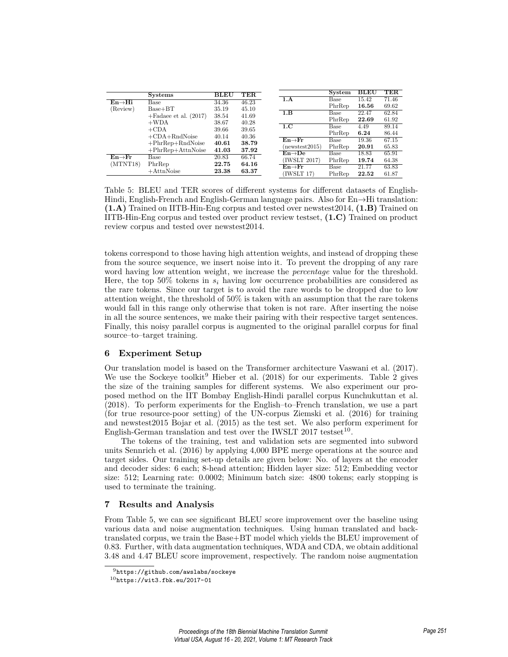|                     | <b>Systems</b>           | <b>BLEU</b> | TER   |                                 | System | <b>BLEU</b> | TER   |
|---------------------|--------------------------|-------------|-------|---------------------------------|--------|-------------|-------|
| $En \rightarrow Hi$ | Base                     | 34.36       | 46.23 | 1.A                             | Base   | 15.42       | 71.46 |
|                     | $Base+BT$                | 35.19       | 45.10 |                                 | PhrRep | 16.56       | 69.62 |
| (Review)            |                          |             |       | 1.B                             | Base   | 22.47       | 62.84 |
|                     | $+$ Fadaee et al. (2017) | 38.54       | 41.69 |                                 | PhrRep | 22.69       | 61.92 |
|                     | $+WDA$                   | 38.67       | 40.28 | 1.C                             | Base   | 4.49        | 89.14 |
|                     | $+$ CDA                  | 39.66       | 39.65 |                                 | PhrRep | 6.24        | 86.44 |
|                     | $+CDA+RndNoise$          | 40.14       | 40.36 | $En \rightarrow Fr$             |        | 19.36       | 67.15 |
|                     | $+PhrRep+RndNoise$       | 40.61       | 38.79 |                                 | Base   |             |       |
|                     | $+PhrRep+AttnNoise$      | 41.03       | 37.92 | (newstest2015)                  | PhrRep | 20.91       | 65.83 |
| $En \rightarrow Fr$ | Base                     | 20.83       | 66.74 | $\text{En}\rightarrow\text{De}$ | Base   | 18.83       | 65.91 |
|                     |                          |             |       | (IWSLT 2017)                    | PhrRep | 19.74       | 64.38 |
| (MINT18)            | PhrRep                   | 22.75       | 64.16 | $En \rightarrow Fr$             | Base   | 21.77       | 63.83 |
|                     | $+$ AttnNoise            | 23.38       | 63.37 | (IWSLT 17)                      | PhrRep | 22.52       | 61.87 |

Table 5: BLEU and TER scores of different systems for different datasets of English-Hindi, English-French and English-German language pairs. Also for En*→*Hi translation: **(1.A)** Trained on IITB-Hin-Eng corpus and tested over newstest2014, **(1.B)** Trained on IITB-Hin-Eng corpus and tested over product review testset, **(1.C)** Trained on product review corpus and tested over newstest2014.

tokens correspond to those having high attention weights, and instead of dropping these from the source sequence, we insert noise into it. To prevent the dropping of any rare word having low attention weight, we increase the *percentage* value for the threshold. Here, the top 50% tokens in  $s_i$  having low occurrence probabilities are considered as the rare tokens. Since our target is to avoid the rare words to be dropped due to low attention weight, the threshold of 50% is taken with an assumption that the rare tokens would fall in this range only otherwise that token is not rare. After inserting the noise in all the source sentences, we make their pairing with their respective target sentences. Finally, this noisy parallel corpus is augmented to the original parallel corpus for final source–to–target training.

# **6 Experiment Setup**

Our translation model is based on the Transformer architecture Vaswani et al. (2017). We use the Sockeye toolkit<sup>9</sup> Hieber et al.  $(2018)$  for our experiments. Table 2 gives the size of the training samples for different systems. We also experiment our proposed method on the IIT Bombay English-Hindi parallel corpus Kunchukuttan et al. (2018). To perform experiments for the English–to–French translation, we use a part (for true resource-poor setting) of the UN-corpus Ziemski et al. (2016) for training and newstest2015 Bojar et al. (2015) as the test set. We also perform experiment for English-German translation and test over the IWSLT 2017 testset<sup>10</sup>.

The tokens of the training, test and validation sets are segmented into subword units Sennrich et al. (2016) by applying 4,000 BPE merge operations at the source and target sides. Our training set-up details are given below: No. of layers at the encoder and decoder sides: 6 each; 8-head attention; Hidden layer size: 512; Embedding vector size: 512; Learning rate: 0.0002; Minimum batch size: 4800 tokens; early stopping is used to terminate the training.

## **7 Results and Analysis**

From Table 5, we can see significant BLEU score improvement over the baseline using various data and noise augmentation techniques. Using human translated and backtranslated corpus, we train the Base+BT model which yields the BLEU improvement of 0.83. Further, with data augmentation techniques, WDA and CDA, we obtain additional 3.48 and 4.47 BLEU score improvement, respectively. The random noise augmentation

<sup>9</sup>https://github.com/awslabs/sockeye

 $10$ https://wit3.fbk.eu/2017-01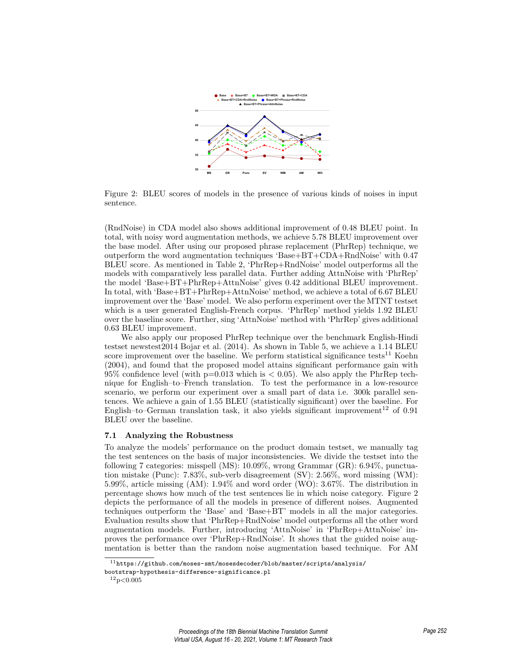

Figure 2: BLEU scores of models in the presence of various kinds of noises in input sentence.

(RndNoise) in CDA model also shows additional improvement of 0.48 BLEU point. In total, with noisy word augmentation methods, we achieve 5.78 BLEU improvement over the base model. After using our proposed phrase replacement (PhrRep) technique, we outperform the word augmentation techniques 'Base+BT+CDA+RndNoise' with 0.47 BLEU score. As mentioned in Table 2, 'PhrRep+RndNoise' model outperforms all the models with comparatively less parallel data. Further adding AttnNoise with 'PhrRep' the model 'Base+BT+PhrRep+AttnNoise' gives 0.42 additional BLEU improvement. In total, with 'Base+BT+PhrRep+AttnNoise' method, we achieve a total of 6.67 BLEU improvement over the 'Base' model. We also perform experiment over the MTNT testset which is a user generated English-French corpus. 'PhrRep' method yields 1.92 BLEU over the baseline score. Further, sing 'AttnNoise' method with 'PhrRep' gives additional 0.63 BLEU improvement.

We also apply our proposed PhrRep technique over the benchmark English-Hindi testset newstest2014 Bojar et al. (2014). As shown in Table 5, we achieve a 1.14 BLEU score improvement over the baseline. We perform statistical significance tests<sup>11</sup> Koehn (2004), and found that the proposed model attains significant performance gain with 95% confidence level (with  $p=0.013$  which is  $\lt 0.05$ ). We also apply the PhrRep technique for English–to–French translation. To test the performance in a low-resource scenario, we perform our experiment over a small part of data i.e. 300k parallel sentences. We achieve a gain of 1.55 BLEU (statistically significant) over the baseline. For English–to–German translation task, it also yields significant improvement<sup>12</sup> of  $0.91$ BLEU over the baseline.

#### **7.1 Analyzing the Robustness**

To analyze the models' performance on the product domain testset, we manually tag the test sentences on the basis of major inconsistencies. We divide the testset into the following 7 categories: misspell (MS): 10.09%, wrong Grammar (GR): 6.94%, punctuation mistake (Punc): 7.83%, sub-verb disagreement (SV): 2.56%, word missing (WM): 5.99%, article missing (AM): 1.94% and word order (WO): 3.67%. The distribution in percentage shows how much of the test sentences lie in which noise category. Figure 2 depicts the performance of all the models in presence of different noises. Augmented techniques outperform the 'Base' and 'Base+BT' models in all the major categories. Evaluation results show that 'PhrRep+RndNoise' model outperforms all the other word augmentation models. Further, introducing 'AttnNoise' in 'PhrRep+AttnNoise' improves the performance over 'PhrRep+RndNoise'. It shows that the guided noise augmentation is better than the random noise augmentation based technique. For AM

 $11$ https://github.com/moses-smt/mosesdecoder/blob/master/scripts/analysis/

bootstrap-hypothesis-difference-significance.pl

 $\rm{^{12}p{<}0.005}$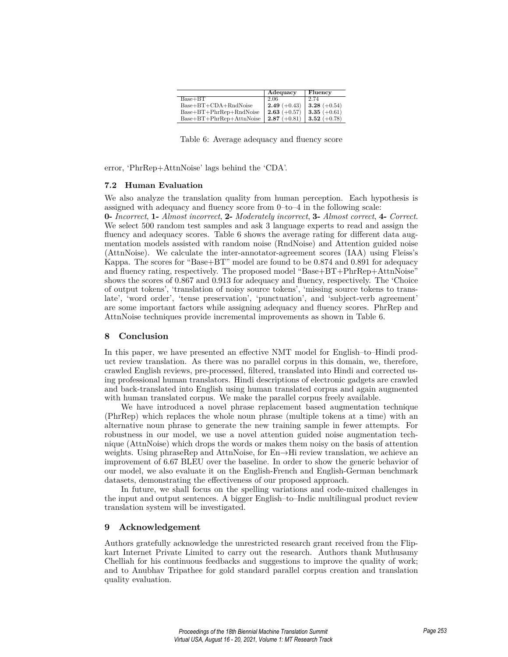|                                  | Adequacy       | Fluency        |
|----------------------------------|----------------|----------------|
| $Base+BT$                        | 2.06           | 2.74           |
| $Base + BT + CDA + RndNoise$     | $2.49 (+0.43)$ | 3.28 $(+0.54)$ |
| $Base + BT + PhrRep + RndNoise$  | $2.63 (+0.57)$ | 3.35 $(+0.61)$ |
| $Base + BT + PhrRep + AttnNoise$ | $2.87 (+0.81)$ | 3.52 $(+0.78)$ |

Table 6: Average adequacy and fluency score

error, 'PhrRep+AttnNoise' lags behind the 'CDA'.

#### **7.2 Human Evaluation**

We also analyze the translation quality from human perception. Each hypothesis is assigned with adequacy and fluency score from 0–to–4 in the following scale: **0-** *Incorrect*, **1-** *Almost incorrect*, **2-** *Moderately incorrect*, **3-** *Almost correct*, **4-** *Correct*.

We select 500 random test samples and ask 3 language experts to read and assign the fluency and adequacy scores. Table 6 shows the average rating for different data augmentation models assisted with random noise (RndNoise) and Attention guided noise (AttnNoise). We calculate the inter-annotator-agreement scores (IAA) using Fleiss's Kappa. The scores for "Base+BT" model are found to be 0.874 and 0.891 for adequacy and fluency rating, respectively. The proposed model "Base+BT+PhrRep+AttnNoise" shows the scores of 0.867 and 0.913 for adequacy and fluency, respectively. The 'Choice of output tokens', 'translation of noisy source tokens', 'missing source tokens to translate', 'word order', 'tense preservation', 'punctuation', and 'subject-verb agreement' are some important factors while assigning adequacy and fluency scores. PhrRep and AttnNoise techniques provide incremental improvements as shown in Table 6.

#### **8 Conclusion**

In this paper, we have presented an effective NMT model for English–to–Hindi product review translation. As there was no parallel corpus in this domain, we, therefore, crawled English reviews, pre-processed, filtered, translated into Hindi and corrected using professional human translators. Hindi descriptions of electronic gadgets are crawled and back-translated into English using human translated corpus and again augmented with human translated corpus. We make the parallel corpus freely available.

We have introduced a novel phrase replacement based augmentation technique (PhrRep) which replaces the whole noun phrase (multiple tokens at a time) with an alternative noun phrase to generate the new training sample in fewer attempts. For robustness in our model, we use a novel attention guided noise augmentation technique (AttnNoise) which drops the words or makes them noisy on the basis of attention weights. Using phraseRep and AttnNoise, for En*→*Hi review translation, we achieve an improvement of 6.67 BLEU over the baseline. In order to show the generic behavior of our model, we also evaluate it on the English-French and English-German benchmark datasets, demonstrating the effectiveness of our proposed approach.

In future, we shall focus on the spelling variations and code-mixed challenges in the input and output sentences. A bigger English–to–Indic multilingual product review translation system will be investigated.

## **9 Acknowledgement**

Authors gratefully acknowledge the unrestricted research grant received from the Flipkart Internet Private Limited to carry out the research. Authors thank Muthusamy Chelliah for his continuous feedbacks and suggestions to improve the quality of work; and to Anubhav Tripathee for gold standard parallel corpus creation and translation quality evaluation.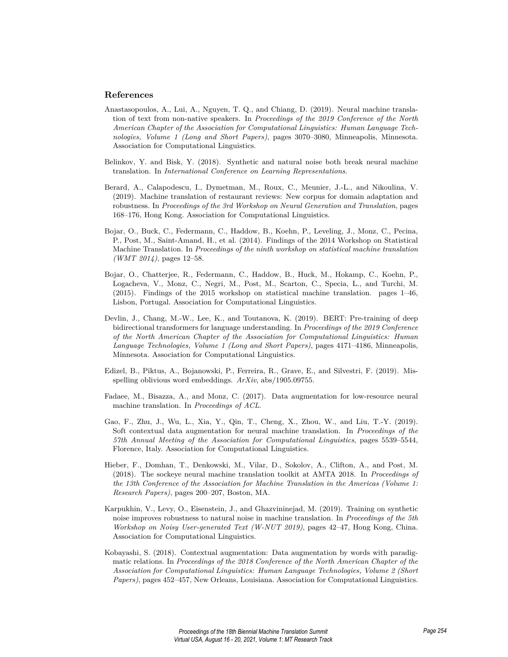## **References**

- Anastasopoulos, A., Lui, A., Nguyen, T. Q., and Chiang, D. (2019). Neural machine translation of text from non-native speakers. In *Proceedings of the 2019 Conference of the North American Chapter of the Association for Computational Linguistics: Human Language Technologies, Volume 1 (Long and Short Papers)*, pages 3070–3080, Minneapolis, Minnesota. Association for Computational Linguistics.
- Belinkov, Y. and Bisk, Y. (2018). Synthetic and natural noise both break neural machine translation. In *International Conference on Learning Representations*.
- Berard, A., Calapodescu, I., Dymetman, M., Roux, C., Meunier, J.-L., and Nikoulina, V. (2019). Machine translation of restaurant reviews: New corpus for domain adaptation and robustness. In *Proceedings of the 3rd Workshop on Neural Generation and Translation*, pages 168–176, Hong Kong. Association for Computational Linguistics.
- Bojar, O., Buck, C., Federmann, C., Haddow, B., Koehn, P., Leveling, J., Monz, C., Pecina, P., Post, M., Saint-Amand, H., et al. (2014). Findings of the 2014 Workshop on Statistical Machine Translation. In *Proceedings of the ninth workshop on statistical machine translation (WMT 2014)*, pages 12–58.
- Bojar, O., Chatterjee, R., Federmann, C., Haddow, B., Huck, M., Hokamp, C., Koehn, P., Logacheva, V., Monz, C., Negri, M., Post, M., Scarton, C., Specia, L., and Turchi, M. (2015). Findings of the 2015 workshop on statistical machine translation. pages 1–46, Lisbon, Portugal. Association for Computational Linguistics.
- Devlin, J., Chang, M.-W., Lee, K., and Toutanova, K. (2019). BERT: Pre-training of deep bidirectional transformers for language understanding. In *Proceedings of the 2019 Conference of the North American Chapter of the Association for Computational Linguistics: Human Language Technologies, Volume 1 (Long and Short Papers)*, pages 4171–4186, Minneapolis, Minnesota. Association for Computational Linguistics.
- Edizel, B., Piktus, A., Bojanowski, P., Ferreira, R., Grave, E., and Silvestri, F. (2019). Misspelling oblivious word embeddings. *ArXiv*, abs/1905.09755.
- Fadaee, M., Bisazza, A., and Monz, C. (2017). Data augmentation for low-resource neural machine translation. In *Proceedings of ACL*.
- Gao, F., Zhu, J., Wu, L., Xia, Y., Qin, T., Cheng, X., Zhou, W., and Liu, T.-Y. (2019). Soft contextual data augmentation for neural machine translation. In *Proceedings of the 57th Annual Meeting of the Association for Computational Linguistics*, pages 5539–5544, Florence, Italy. Association for Computational Linguistics.
- Hieber, F., Domhan, T., Denkowski, M., Vilar, D., Sokolov, A., Clifton, A., and Post, M. (2018). The sockeye neural machine translation toolkit at AMTA 2018. In *Proceedings of the 13th Conference of the Association for Machine Translation in the Americas (Volume 1: Research Papers)*, pages 200–207, Boston, MA.
- Karpukhin, V., Levy, O., Eisenstein, J., and Ghazvininejad, M. (2019). Training on synthetic noise improves robustness to natural noise in machine translation. In *Proceedings of the 5th Workshop on Noisy User-generated Text (W-NUT 2019)*, pages 42–47, Hong Kong, China. Association for Computational Linguistics.
- Kobayashi, S. (2018). Contextual augmentation: Data augmentation by words with paradigmatic relations. In *Proceedings of the 2018 Conference of the North American Chapter of the Association for Computational Linguistics: Human Language Technologies, Volume 2 (Short Papers)*, pages 452–457, New Orleans, Louisiana. Association for Computational Linguistics.